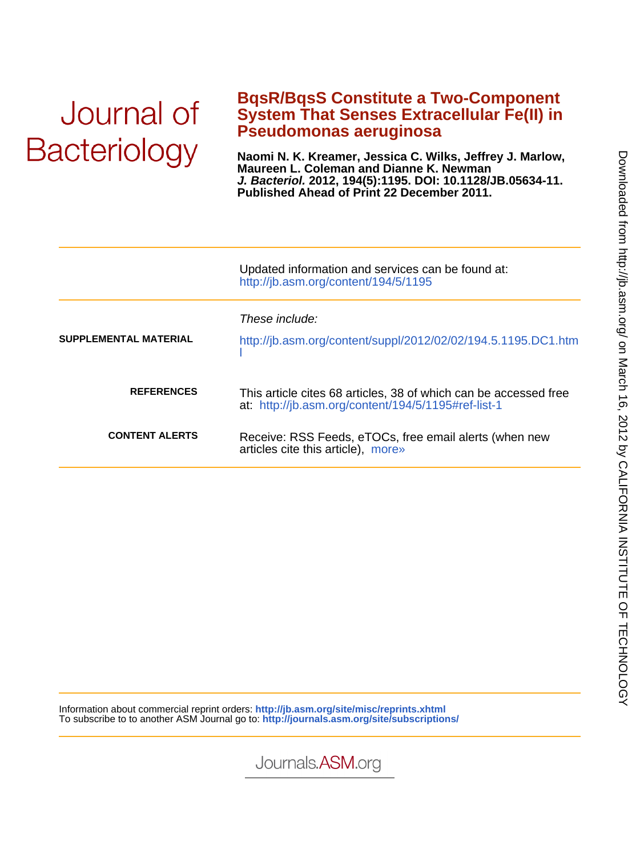# Journal of **Bacteriology**

### **Pseudomonas aeruginosa System That Senses Extracellular Fe(II) in BqsR/BqsS Constitute a Two-Component**

**Published Ahead of Print 22 December 2011. J. Bacteriol. 2012, 194(5):1195. DOI: 10.1128/JB.05634-11. Maureen L. Coleman and Dianne K. Newman Naomi N. K. Kreamer, Jessica C. Wilks, Jeffrey J. Marlow,**

|                       | Updated information and services can be found at:<br>http://jb.asm.org/content/194/5/1195                               |  |  |
|-----------------------|-------------------------------------------------------------------------------------------------------------------------|--|--|
| SUPPLEMENTAL MATERIAL | These include:<br>http://jb.asm.org/content/suppl/2012/02/02/194.5.1195.DC1.htm                                         |  |  |
| <b>REFERENCES</b>     | This article cites 68 articles, 38 of which can be accessed free<br>at: http://jb.asm.org/content/194/5/1195#ref-list-1 |  |  |
| <b>CONTENT ALERTS</b> | Receive: RSS Feeds, eTOCs, free email alerts (when new<br>articles cite this article), more»                            |  |  |

Information about commercial reprint orders: **http://jb.asm.org/site/misc/reprints.xhtml** To subscribe to to another ASM Journal go to: **http://journals.asm.org/site/subscriptions/**

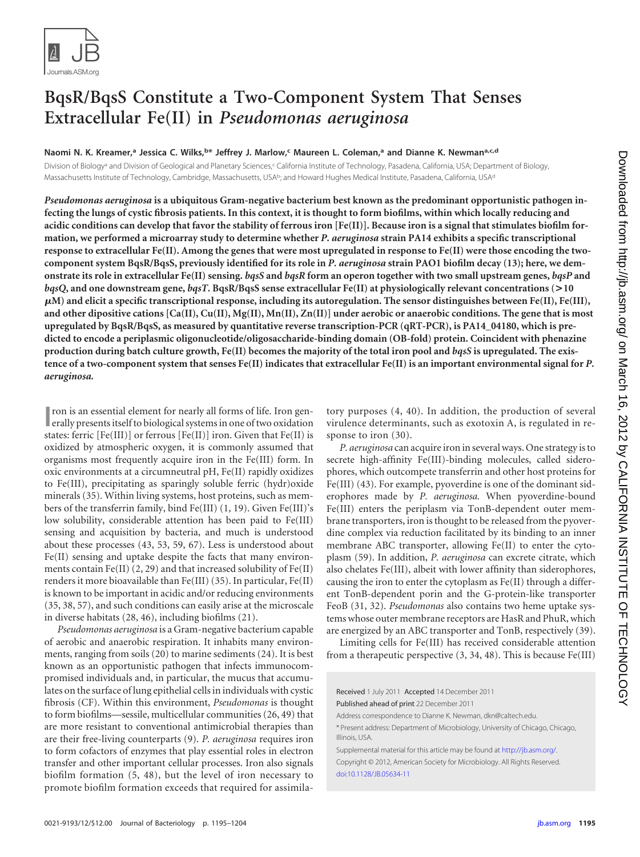

## **BqsR/BqsS Constitute a Two-Component System That Senses Extracellular Fe(II) in** *Pseudomonas aeruginosa*

**Naomi N. K. Kreamer, <sup>a</sup> Jessica C. Wilks, b\* Jeffrey J. Marlow, <sup>c</sup> Maureen L. Coleman, <sup>a</sup> and Dianne K. Newmana,c,d**

Division of Biology<sup>a</sup> and Division of Geological and Planetary Sciences,<sup>c</sup> California Institute of Technology, Pasadena, California, USA; Department of Biology, Massachusetts Institute of Technology, Cambridge, Massachusetts, USAb; and Howard Hughes Medical Institute, Pasadena, California, USAd

*Pseudomonas aeruginosa* **is a ubiquitous Gram-negative bacterium best known as the predominant opportunistic pathogen infecting the lungs of cystic fibrosis patients. In this context, it is thought to form biofilms, within which locally reducing and acidic conditions can develop that favor the stability of ferrous iron [Fe(II)]. Because iron is a signal that stimulates biofilm formation, we performed a microarray study to determine whether** *P. aeruginosa* **strain PA14 exhibits a specific transcriptional response to extracellular Fe(II). Among the genes that were most upregulated in response to Fe(II) were those encoding the twocomponent system BqsR/BqsS, previously identified for its role in** *P. aeruginosa* **strain PAO1 biofilm decay [\(13\)](#page-9-0); here, we demonstrate its role in extracellular Fe(II) sensing.** *bqsS* **and** *bqsR* **form an operon together with two small upstream genes,** *bqsP* **and** *bqsQ***, and one downstream gene,** *bqsT***. BqsR/BqsS sense extracellular Fe(II) at physiologically relevant concentrations (>10 M) and elicit a specific transcriptional response, including its autoregulation. The sensor distinguishes between Fe(II), Fe(III), and other dipositive cations [Ca(II), Cu(II), Mg(II), Mn(II), Zn(II)] under aerobic or anaerobic conditions. The gene that is most upregulated by BqsR/BqsS, as measured by quantitative reverse transcription-PCR (qRT-PCR), is PA14\_04180, which is predicted to encode a periplasmic oligonucleotide/oligosaccharide-binding domain (OB-fold) protein. Coincident with phenazine production during batch culture growth, Fe(II) becomes the majority of the total iron pool and** *bqsS* **is upregulated. The existence of a two-component system that senses Fe(II) indicates that extracellular Fe(II) is an important environmental signal for** *P. aeruginosa.*

**I** compose is an essential element for nearly all forms of life. Iron generally presents itself to biological systems in one of two oxidation ron is an essential element for nearly all forms of life. Iron genstates: ferric [Fe(III)] or ferrous [Fe(II)] iron. Given that Fe(II) is oxidized by atmospheric oxygen, it is commonly assumed that organisms most frequently acquire iron in the Fe(III) form. In oxic environments at a circumneutral pH, Fe(II) rapidly oxidizes to Fe(III), precipitating as sparingly soluble ferric (hydr)oxide minerals [\(35\)](#page-9-1). Within living systems, host proteins, such as members of the transferrin family, bind Fe(III) [\(1,](#page-8-0) [19\)](#page-9-2). Given Fe(III)'s low solubility, considerable attention has been paid to Fe(III) sensing and acquisition by bacteria, and much is understood about these processes [\(43,](#page-9-3) [53,](#page-9-4) [59,](#page-9-5) [67\)](#page-10-0). Less is understood about Fe(II) sensing and uptake despite the facts that many environments contain Fe(II)  $(2, 29)$  $(2, 29)$  and that increased solubility of Fe(II) renders it more bioavailable than Fe(III) [\(35\)](#page-9-1). In particular, Fe(II) is known to be important in acidic and/or reducing environments [\(35,](#page-9-1) [38,](#page-9-7) [57\)](#page-9-8), and such conditions can easily arise at the microscale in diverse habitats [\(28,](#page-9-9) [46\)](#page-9-10), including biofilms [\(21\)](#page-9-11).

*Pseudomonas aeruginosa* is a Gram-negative bacterium capable of aerobic and anaerobic respiration. It inhabits many environments, ranging from soils [\(20\)](#page-9-12) to marine sediments [\(24\)](#page-9-13). It is best known as an opportunistic pathogen that infects immunocompromised individuals and, in particular, the mucus that accumulates on the surface of lung epithelial cells in individuals with cystic fibrosis (CF). Within this environment, *Pseudomonas* is thought to form biofilms—sessile, multicellular communities [\(26,](#page-9-14) [49\)](#page-9-15) that are more resistant to conventional antimicrobial therapies than are their free-living counterparts [\(9\)](#page-8-2). *P. aeruginosa* requires iron to form cofactors of enzymes that play essential roles in electron transfer and other important cellular processes. Iron also signals biofilm formation [\(5,](#page-8-3) [48\)](#page-9-16), but the level of iron necessary to promote biofilm formation exceeds that required for assimilatory purposes [\(4,](#page-8-4) [40\)](#page-9-17). In addition, the production of several virulence determinants, such as exotoxin A, is regulated in response to iron  $(30)$ .

*P. aeruginosa* can acquire iron in several ways. One strategy is to secrete high-affinity Fe(III)-binding molecules, called siderophores, which outcompete transferrin and other host proteins for Fe(III) [\(43\)](#page-9-3). For example, pyoverdine is one of the dominant siderophores made by *P. aeruginosa.* When pyoverdine-bound Fe(III) enters the periplasm via TonB-dependent outer membrane transporters, iron is thought to be released from the pyoverdine complex via reduction facilitated by its binding to an inner membrane ABC transporter, allowing Fe(II) to enter the cytoplasm [\(59\)](#page-9-5). In addition, *P. aeruginosa* can excrete citrate, which also chelates Fe(III), albeit with lower affinity than siderophores, causing the iron to enter the cytoplasm as Fe(II) through a different TonB-dependent porin and the G-protein-like transporter FeoB [\(31,](#page-9-19) [32\)](#page-9-20). *Pseudomonas* also contains two heme uptake systems whose outer membrane receptors are HasR and PhuR, which are energized by an ABC transporter and TonB, respectively [\(39\)](#page-9-21).

Limiting cells for Fe(III) has received considerable attention from a therapeutic perspective [\(3,](#page-8-5) [34,](#page-9-22) [48\)](#page-9-16). This is because Fe(III)

Received 1 July 2011 Accepted 14 December 2011

Published ahead of print 22 December 2011

Address correspondence to Dianne K. Newman, dkn@caltech.edu.

\* Present address: Department of Microbiology, University of Chicago, Chicago, Illinois, USA.

Supplemental material for this article may be found at http://jb.asm.org/. Copyright © 2012, American Society for Microbiology. All Rights Reserved. [doi:10.1128/JB.05634-11](http://dx.doi.org/10.1128/JB.05634-11)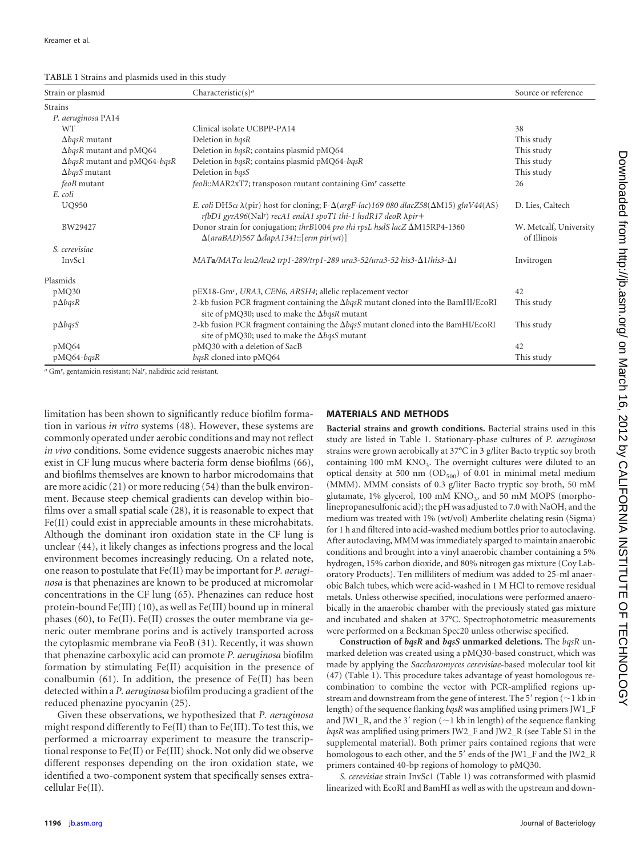<span id="page-2-0"></span>**TABLE 1** Strains and plasmids used in this study

| Strain or plasmid                    | Characteristic(s) <sup>a</sup>                                                                                                                                                                                | Source or reference                   |
|--------------------------------------|---------------------------------------------------------------------------------------------------------------------------------------------------------------------------------------------------------------|---------------------------------------|
| <b>Strains</b>                       |                                                                                                                                                                                                               |                                       |
| P. aeruginosa PA14                   |                                                                                                                                                                                                               |                                       |
| <b>WT</b>                            | Clinical isolate UCBPP-PA14                                                                                                                                                                                   | 38                                    |
| $\Delta b$ qsR mutant                | Deletion in bqsR                                                                                                                                                                                              | This study                            |
| $\Delta b$ qsR mutant and pMQ64      | Deletion in bqsR; contains plasmid pMQ64                                                                                                                                                                      | This study                            |
| $\Delta b$ qsR mutant and pMQ64-bqsR | Deletion in bqsR; contains plasmid pMQ64-bqsR                                                                                                                                                                 | This study                            |
| $\Delta b$ qsS mutant                | Deletion in basS                                                                                                                                                                                              | This study                            |
| feoB mutant                          | feoB::MAR2xT7; transposon mutant containing Gm <sup>r</sup> cassette                                                                                                                                          | 26                                    |
| E. coli                              |                                                                                                                                                                                                               |                                       |
| <b>UQ950</b>                         | E. coli DH5 $\alpha$ $\lambda$ (pir) host for cloning; F- $\Delta(argF-lac)$ 169 080 dlacZ58( $\Delta M15$ ) glnV44(AS)<br>rfbD1 gyrA96(Nal <sup>r</sup> ) recA1 endA1 spoT1 thi-1 hsdR17 deoR $\lambda$ pir+ | D. Lies, Caltech                      |
| BW29427                              | Donor strain for conjugation; thrB1004 pro thi rpsL hsdS lacZ $\Delta M15RP4-1360$<br>$\Delta(\text{araBAD})$ 567 $\Delta$ dapA1341::[erm pir(wt)]                                                            | W. Metcalf, University<br>of Illinois |
| S. cerevisiae                        |                                                                                                                                                                                                               |                                       |
| <b>InvSc1</b>                        | $MATA/MATA$ leu2/leu2 trp1-289/trp1-289 ura3-52/ura3-52 his3- $\Delta$ 1/his3- $\Delta$ 1                                                                                                                     | Invitrogen                            |
| Plasmids                             |                                                                                                                                                                                                               |                                       |
| pMQ30                                | pEX18-Gm <sup>r</sup> , URA3, CEN6, ARSH4; allelic replacement vector                                                                                                                                         | 42                                    |
| $p\Delta b$ qsR                      | 2-kb fusion PCR fragment containing the $\Delta b$ qsR mutant cloned into the BamHI/EcoRI<br>site of pMQ30; used to make the $\Delta b$ qsR mutant                                                            | This study                            |
| $p\Delta b$ qsS                      | 2-kb fusion PCR fragment containing the AbqsS mutant cloned into the BamHI/EcoRI<br>site of pMQ30; used to make the $\Delta b$ qsS mutant                                                                     | This study                            |
| pMQ64                                | pMQ30 with a deletion of SacB                                                                                                                                                                                 | 42                                    |
| pMQ64-bqsR                           | bqsR cloned into pMQ64                                                                                                                                                                                        | This study                            |

a Gm<sup>r</sup>, gentamicin resistant; Nal<sup>r</sup>, nalidixic acid resistant.

limitation has been shown to significantly reduce biofilm formation in various *in vitro* systems [\(48\)](#page-9-16). However, these systems are commonly operated under aerobic conditions and may not reflect *in vivo* conditions. Some evidence suggests anaerobic niches may exist in CF lung mucus where bacteria form dense biofilms [\(66\)](#page-10-1), and biofilms themselves are known to harbor microdomains that are more acidic [\(21\)](#page-9-11) or more reducing [\(54\)](#page-9-23) than the bulk environment. Because steep chemical gradients can develop within biofilms over a small spatial scale [\(28\)](#page-9-9), it is reasonable to expect that Fe(II) could exist in appreciable amounts in these microhabitats. Although the dominant iron oxidation state in the CF lung is unclear [\(44\)](#page-9-24), it likely changes as infections progress and the local environment becomes increasingly reducing. On a related note, one reason to postulate that Fe(II) may be important for *P. aeruginosa* is that phenazines are known to be produced at micromolar concentrations in the CF lung [\(65\)](#page-10-2). Phenazines can reduce host protein-bound Fe(III) [\(10\)](#page-9-25), as well as Fe(III) bound up in mineral phases [\(60\)](#page-10-3), to Fe(II). Fe(II) crosses the outer membrane via generic outer membrane porins and is actively transported across the cytoplasmic membrane via FeoB [\(31\)](#page-9-19). Recently, it was shown that phenazine carboxylic acid can promote *P. aeruginosa* biofilm formation by stimulating Fe(II) acquisition in the presence of conalbumin [\(61\)](#page-10-4). In addition, the presence of Fe(II) has been detected within a *P. aeruginosa* biofilm producing a gradient of the reduced phenazine pyocyanin [\(25\)](#page-9-26).

Given these observations, we hypothesized that *P. aeruginosa* might respond differently to Fe(II) than to Fe(III). To test this, we performed a microarray experiment to measure the transcriptional response to Fe(II) or Fe(III) shock. Not only did we observe different responses depending on the iron oxidation state, we identified a two-component system that specifically senses extracellular Fe(II).

#### **MATERIALS AND METHODS**

**Bacterial strains and growth conditions.** Bacterial strains used in this study are listed in [Table 1.](#page-2-0) Stationary-phase cultures of *P. aeruginosa* strains were grown aerobically at 37°C in 3 g/liter Bacto tryptic soy broth containing 100 mM  $KNO<sub>3</sub>$ . The overnight cultures were diluted to an optical density at 500 nm  $OD_{500}$  of 0.01 in minimal metal medium (MMM). MMM consists of 0.3 g/liter Bacto tryptic soy broth, 50 mM glutamate,  $1\%$  glycerol,  $100$  mM KNO<sub>3</sub>, and  $50$  mM MOPS (morpholinepropanesulfonic acid); the pH was adjusted to 7.0 with NaOH, and the medium was treated with 1% (wt/vol) Amberlite chelating resin (Sigma) for 1 h and filtered into acid-washed medium bottles prior to autoclaving. After autoclaving, MMM was immediately sparged to maintain anaerobic conditions and brought into a vinyl anaerobic chamber containing a 5% hydrogen, 15% carbon dioxide, and 80% nitrogen gas mixture (Coy Laboratory Products). Ten milliliters of medium was added to 25-ml anaerobic Balch tubes, which were acid-washed in 1 M HCl to remove residual metals. Unless otherwise specified, inoculations were performed anaerobically in the anaerobic chamber with the previously stated gas mixture and incubated and shaken at 37°C. Spectrophotometric measurements were performed on a Beckman Spec20 unless otherwise specified.

**Construction of** *bqsR* **and** *bqsS* **unmarked deletions.** The *bqsR* unmarked deletion was created using a pMQ30-based construct, which was made by applying the *Saccharomyces cerevisiae*-based molecular tool kit [\(47\)](#page-9-27) [\(Table 1\)](#page-2-0). This procedure takes advantage of yeast homologous recombination to combine the vector with PCR-amplified regions upstream and downstream from the gene of interest. The 5' region ( $\sim$ 1 kb in length) of the sequence flanking *bqsR* was amplified using primers JW1\_F and JW1\_R, and the 3' region ( $\sim$ 1 kb in length) of the sequence flanking *bqsR* was amplified using primers JW2\_F and JW2\_R (see Table S1 in the supplemental material). Both primer pairs contained regions that were homologous to each other, and the 5' ends of the JW1\_F and the JW2\_R primers contained 40-bp regions of homology to pMQ30.

*S. cerevisiae* strain InvSc1 [\(Table 1\)](#page-2-0) was cotransformed with plasmid linearized with EcoRI and BamHI as well as with the upstream and down-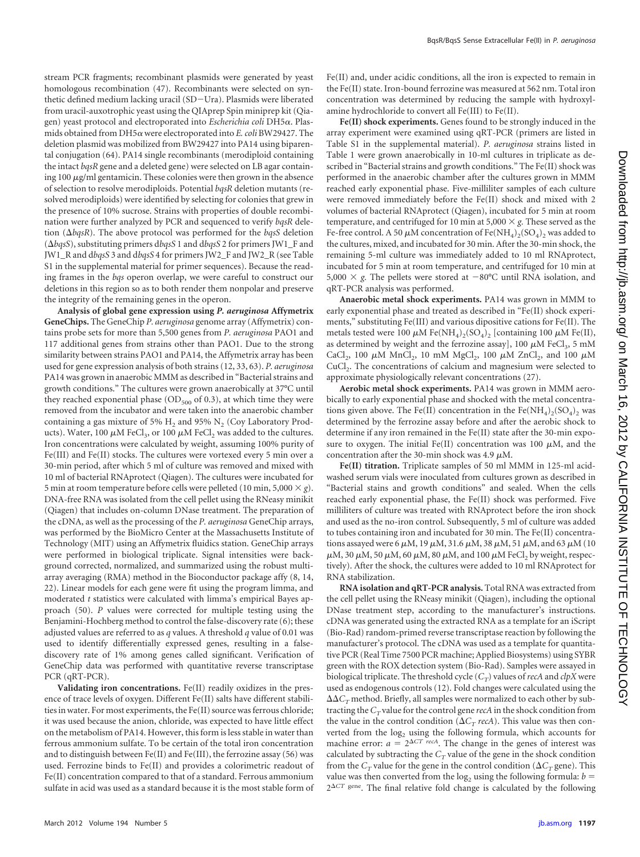stream PCR fragments; recombinant plasmids were generated by yeast homologous recombination [\(47\)](#page-9-27). Recombinants were selected on synthetic defined medium lacking uracil (SD-Ura). Plasmids were liberated from uracil-auxotrophic yeast using the QIAprep Spin miniprep kit (Qiagen) yeast protocol and electroporated into *Escherichia coli* DH5α. Plasmids obtained from DH5α were electroporated into *E. coli* BW29427. The deletion plasmid was mobilized from BW29427 into PA14 using biparental conjugation [\(64\)](#page-10-5). PA14 single recombinants (merodiploid containing the intact *bqsR* gene and a deleted gene) were selected on LB agar containing 100  $\mu$ g/ml gentamicin. These colonies were then grown in the absence of selection to resolve merodiploids. Potential *bqsR* deletion mutants (resolved merodiploids) were identified by selecting for colonies that grew in the presence of 10% sucrose. Strains with properties of double recombination were further analyzed by PCR and sequenced to verify *bqsR* deletion ( $\Delta b$ qsR). The above protocol was performed for the *bqsS* deletion ( $\Delta b q s S$ ), substituting primers dbqsS 1 and dbqsS 2 for primers JW1\_F and JW1\_R and d*bqsS* 3 and d*bqsS* 4 for primers JW2\_F and JW2\_R (see Table S1 in the supplemental material for primer sequences). Because the reading frames in the *bqs* operon overlap, we were careful to construct our deletions in this region so as to both render them nonpolar and preserve the integrity of the remaining genes in the operon.

**Analysis of global gene expression using** *P. aeruginosa* **Affymetrix GeneChips.** The GeneChip *P. aeruginosa* genome array (Affymetrix) contains probe sets for more than 5,500 genes from *P. aeruginosa* PAO1 and 117 additional genes from strains other than PAO1. Due to the strong similarity between strains PAO1 and PA14, the Affymetrix array has been used for gene expression analysis of both strains [\(12,](#page-9-29) [33,](#page-9-30) [63\)](#page-10-6). *P. aeruginosa* PA14 was grown in anaerobic MMM as described in "Bacterial strains and growth conditions." The cultures were grown anaerobically at 37°C until they reached exponential phase  $(OD_{500}$  of 0.3), at which time they were removed from the incubator and were taken into the anaerobic chamber containing a gas mixture of 5%  $H_2$  and 95%  $N_2$  (Coy Laboratory Products). Water, 100  $\mu$ M FeCl<sub>3</sub>, or 100  $\mu$ M FeCl<sub>2</sub> was added to the cultures. Iron concentrations were calculated by weight, assuming 100% purity of Fe(III) and Fe(II) stocks. The cultures were vortexed every 5 min over a 30-min period, after which 5 ml of culture was removed and mixed with 10 ml of bacterial RNAprotect (Qiagen). The cultures were incubated for 5 min at room temperature before cells were pelleted (10 min, 5,000  $\times$  *g*). DNA-free RNA was isolated from the cell pellet using the RNeasy minikit (Qiagen) that includes on-column DNase treatment. The preparation of the cDNA, as well as the processing of the *P. aeruginosa* GeneChip arrays, was performed by the BioMicro Center at the Massachusetts Institute of Technology (MIT) using an Affymetrix fluidics station. GeneChip arrays were performed in biological triplicate. Signal intensities were background corrected, normalized, and summarized using the robust multiarray averaging (RMA) method in the Bioconductor package affy [\(8,](#page-8-6) [14,](#page-9-31) [22\)](#page-9-32). Linear models for each gene were fit using the program limma, and moderated *t* statistics were calculated with limma's empirical Bayes approach [\(50\)](#page-9-33). *P* values were corrected for multiple testing using the Benjamini-Hochberg method to control the false-discovery rate [\(6\)](#page-8-7); these adjusted values are referred to as *q* values. A threshold *q* value of 0.01 was used to identify differentially expressed genes, resulting in a falsediscovery rate of 1% among genes called significant. Verification of GeneChip data was performed with quantitative reverse transcriptase PCR (qRT-PCR).

**Validating iron concentrations.** Fe(II) readily oxidizes in the presence of trace levels of oxygen. Different Fe(II) salts have different stabilities in water. For most experiments, the Fe(II) source was ferrous chloride; it was used because the anion, chloride, was expected to have little effect on the metabolism of PA14. However, this form is less stable in water than ferrous ammonium sulfate. To be certain of the total iron concentration and to distinguish between Fe(II) and Fe(III), the ferrozine assay [\(56\)](#page-9-34) was used. Ferrozine binds to Fe(II) and provides a colorimetric readout of Fe(II) concentration compared to that of a standard. Ferrous ammonium sulfate in acid was used as a standard because it is the most stable form of Fe(II) and, under acidic conditions, all the iron is expected to remain in the Fe(II) state. Iron-bound ferrozine was measured at 562 nm. Total iron concentration was determined by reducing the sample with hydroxylamine hydrochloride to convert all Fe(III) to Fe(II).

**Fe(II) shock experiments.** Genes found to be strongly induced in the array experiment were examined using qRT-PCR (primers are listed in Table S1 in the supplemental material). *P. aeruginosa* strains listed in [Table 1](#page-2-0) were grown anaerobically in 10-ml cultures in triplicate as described in "Bacterial strains and growth conditions." The Fe(II) shock was performed in the anaerobic chamber after the cultures grown in MMM reached early exponential phase. Five-milliliter samples of each culture were removed immediately before the Fe(II) shock and mixed with 2 volumes of bacterial RNAprotect (Qiagen), incubated for 5 min at room temperature, and centrifuged for 10 min at 5,000  $\times$  g. These served as the Fe-free control. A 50  $\mu$ M concentration of Fe(NH<sub>4</sub>)<sub>2</sub>(SO<sub>4</sub>)<sub>2</sub> was added to the cultures, mixed, and incubated for 30 min. After the 30-min shock, the remaining 5-ml culture was immediately added to 10 ml RNAprotect, incubated for 5 min at room temperature, and centrifuged for 10 min at 5,000  $\times$  g. The pellets were stored at  $-80^{\circ}$ C until RNA isolation, and qRT-PCR analysis was performed.

**Anaerobic metal shock experiments.** PA14 was grown in MMM to early exponential phase and treated as described in "Fe(II) shock experiments," substituting Fe(III) and various dipositive cations for Fe(II). The metals tested were 100  $\mu$ M Fe(NH<sub>4</sub>)<sub>2</sub>(SO<sub>4</sub>)<sub>2</sub> [containing 100  $\mu$ M Fe(II), as determined by weight and the ferrozine assay], 100  $\mu$ M FeCl<sub>3</sub>, 5 mM CaCl<sub>2</sub>, 100  $\mu$ M MnCl<sub>2</sub>, 10 mM MgCl<sub>2</sub>, 100  $\mu$ M ZnCl<sub>2</sub>, and 100  $\mu$ M CuCl<sub>2</sub>. The concentrations of calcium and magnesium were selected to approximate physiologically relevant concentrations [\(27\)](#page-9-35).

**Aerobic metal shock experiments.** PA14 was grown in MMM aerobically to early exponential phase and shocked with the metal concentrations given above. The Fe(II) concentration in the Fe(NH<sub>4</sub>)<sub>2</sub>(SO<sub>4</sub>)<sub>2</sub> was determined by the ferrozine assay before and after the aerobic shock to determine if any iron remained in the Fe(II) state after the 30-min exposure to oxygen. The initial Fe(II) concentration was 100  $\mu$ M, and the concentration after the 30-min shock was 4.9  $\mu$ M.

**Fe(II) titration.** Triplicate samples of 50 ml MMM in 125-ml acidwashed serum vials were inoculated from cultures grown as described in "Bacterial stains and growth conditions" and sealed. When the cells reached early exponential phase, the Fe(II) shock was performed. Five milliliters of culture was treated with RNAprotect before the iron shock and used as the no-iron control. Subsequently, 5 ml of culture was added to tubes containing iron and incubated for 30 min. The Fe(II) concentrations assayed were 6  $\mu$ M, 19  $\mu$ M, 31.6  $\mu$ M, 38  $\mu$ M, 51  $\mu$ M, and 63  $\mu$ M (10  $\mu$ M, 30  $\mu$ M, 50  $\mu$ M, 60  $\mu$ M, 80  $\mu$ M, and 100  $\mu$ M FeCl<sub>2</sub> by weight, respectively). After the shock, the cultures were added to 10 ml RNAprotect for RNA stabilization.

**RNA isolation and qRT-PCR analysis.** Total RNA was extracted from the cell pellet using the RNeasy minikit (Qiagen), including the optional DNase treatment step, according to the manufacturer's instructions. cDNA was generated using the extracted RNA as a template for an iScript (Bio-Rad) random-primed reverse transcriptase reaction by following the manufacturer's protocol. The cDNA was used as a template for quantitative PCR (Real Time 7500 PCR machine; Applied Biosystems) using SYBR green with the ROX detection system (Bio-Rad). Samples were assayed in biological triplicate. The threshold cycle  $(C_T)$  values of *recA* and *clpX* were used as endogenous controls [\(12\)](#page-9-29). Fold changes were calculated using the  $\Delta \Delta C_{T}$  method. Briefly, all samples were normalized to each other by subtracting the  $C_T$  value for the control gene *recA* in the shock condition from the value in the control condition  $(\Delta C_T \text{ } recA)$ . This value was then converted from the  $log<sub>2</sub>$  using the following formula, which accounts for machine error:  $a = 2^{\Delta CT \text{ } recA}$ . The change in the genes of interest was calculated by subtracting the  $C_T$  value of the gene in the shock condition from the  $C_T$  value for the gene in the control condition ( $\Delta C_T$  gene). This value was then converted from the log<sub>2</sub> using the following formula:  $b =$  $2^{\Delta CT}$  gene. The final relative fold change is calculated by the following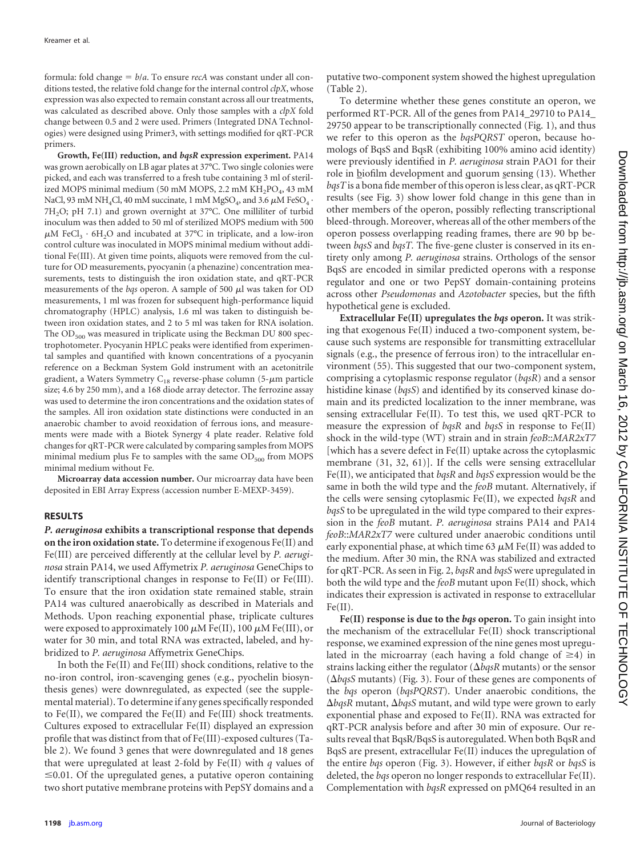formula: fold change  $= b/a$ . To ensure *recA* was constant under all conditions tested, the relative fold change for the internal control *clpX*, whose expression was also expected to remain constant across all our treatments, was calculated as described above. Only those samples with a *clpX* fold change between 0.5 and 2 were used. Primers (Integrated DNA Technologies) were designed using Primer3, with settings modified for qRT-PCR primers.

**Growth, Fe(III) reduction, and** *bqsR* **expression experiment.** PA14 was grown aerobically on LB agar plates at 37°C. Two single colonies were picked, and each was transferred to a fresh tube containing 3 ml of sterilized MOPS minimal medium (50 mM MOPS, 2.2 mM KH<sub>2</sub>PO<sub>4</sub>, 43 mM NaCl, 93 mM NH<sub>4</sub>Cl, 40 mM succinate, 1 mM MgSO<sub>4</sub>, and 3.6  $\mu$ M FeSO<sub>4</sub> · 7H<sub>2</sub>O; pH 7.1) and grown overnight at 37°C. One milliliter of turbid inoculum was then added to 50 ml of sterilized MOPS medium with 500  $\mu$ M FeCl<sub>3</sub> · 6H<sub>2</sub>O and incubated at 37°C in triplicate, and a low-iron control culture was inoculated in MOPS minimal medium without additional Fe(III). At given time points, aliquots were removed from the culture for OD measurements, pyocyanin (a phenazine) concentration measurements, tests to distinguish the iron oxidation state, and qRT-PCR measurements of the  $bqs$  operon. A sample of 500  $\mu$ l was taken for OD measurements, 1 ml was frozen for subsequent high-performance liquid chromatography (HPLC) analysis, 1.6 ml was taken to distinguish between iron oxidation states, and 2 to 5 ml was taken for RNA isolation. The  $OD_{500}$  was measured in triplicate using the Beckman DU 800 spectrophotometer. Pyocyanin HPLC peaks were identified from experimental samples and quantified with known concentrations of a pyocyanin reference on a Beckman System Gold instrument with an acetonitrile gradient, a Waters Symmetry  $C_{18}$  reverse-phase column (5- $\mu$ m particle size; 4.6 by 250 mm), and a 168 diode array detector. The ferrozine assay was used to determine the iron concentrations and the oxidation states of the samples. All iron oxidation state distinctions were conducted in an anaerobic chamber to avoid reoxidation of ferrous ions, and measurements were made with a Biotek Synergy 4 plate reader. Relative fold changes for qRT-PCR were calculated by comparing samples from MOPS minimal medium plus Fe to samples with the same  $OD<sub>500</sub>$  from MOPS minimal medium without Fe.

**Microarray data accession number.** Our microarray data have been deposited in EBI Array Express (accession number E-MEXP-3459).

#### **RESULTS**

*P. aeruginosa* **exhibits a transcriptional response that depends on the iron oxidation state.** To determine if exogenous Fe(II) and Fe(III) are perceived differently at the cellular level by *P. aeruginosa* strain PA14, we used Affymetrix *P. aeruginosa* GeneChips to identify transcriptional changes in response to Fe(II) or Fe(III). To ensure that the iron oxidation state remained stable, strain PA14 was cultured anaerobically as described in Materials and Methods. Upon reaching exponential phase, triplicate cultures were exposed to approximately 100  $\mu$ M Fe(II), 100  $\mu$ M Fe(III), or water for 30 min, and total RNA was extracted, labeled, and hybridized to *P. aeruginosa* Affymetrix GeneChips.

In both the Fe(II) and Fe(III) shock conditions, relative to the no-iron control, iron-scavenging genes (e.g., pyochelin biosynthesis genes) were downregulated, as expected (see the supplemental material). To determine if any genes specifically responded to Fe(II), we compared the Fe(II) and Fe(III) shock treatments. Cultures exposed to extracellular Fe(II) displayed an expression profile that was distinct from that of Fe(III)-exposed cultures [\(Ta](#page-5-0)[ble 2\)](#page-5-0). We found 3 genes that were downregulated and 18 genes that were upregulated at least 2-fold by Fe(II) with *q* values of  $\leq 0.01$ . Of the upregulated genes, a putative operon containing two short putative membrane proteins with PepSY domains and a

putative two-component system showed the highest upregulation [\(Table 2\)](#page-5-0).

To determine whether these genes constitute an operon, we performed RT-PCR. All of the genes from PA14\_29710 to PA14\_ 29750 appear to be transcriptionally connected [\(Fig. 1\)](#page-5-1), and thus we refer to this operon as the *bqsPQRST* operon, because homologs of BqsS and BqsR (exhibiting 100% amino acid identity) were previously identified in *P. aeruginosa* strain PAO1 for their role in biofilm development and quorum sensing [\(13\)](#page-9-0). Whether *bqsT* is a bona fide member of this operon is less clear, as qRT-PCR results (see [Fig. 3\)](#page-6-0) show lower fold change in this gene than in other members of the operon, possibly reflecting transcriptional bleed-through. Moreover, whereas all of the other members of the operon possess overlapping reading frames, there are 90 bp between *bqsS* and *bqsT.* The five-gene cluster is conserved in its entirety only among *P. aeruginosa* strains. Orthologs of the sensor BqsS are encoded in similar predicted operons with a response regulator and one or two PepSY domain-containing proteins across other *Pseudomonas* and *Azotobacter* species, but the fifth hypothetical gene is excluded.

**Extracellular Fe(II) upregulates the** *bqs* **operon.** It was striking that exogenous Fe(II) induced a two-component system, because such systems are responsible for transmitting extracellular signals (e.g., the presence of ferrous iron) to the intracellular environment [\(55\)](#page-9-36). This suggested that our two-component system, comprising a cytoplasmic response regulator (*bqsR*) and a sensor histidine kinase (*bqsS*) and identified by its conserved kinase domain and its predicted localization to the inner membrane, was sensing extracellular Fe(II). To test this, we used qRT-PCR to measure the expression of *bqsR* and *bqsS* in response to Fe(II) shock in the wild-type (WT) strain and in strain *feoB*::*MAR2xT7* [which has a severe defect in Fe(II) uptake across the cytoplasmic membrane [\(31,](#page-9-19) [32,](#page-9-20) [61\)](#page-10-4)]. If the cells were sensing extracellular Fe(II), we anticipated that *bqsR* and *bqsS* expression would be the same in both the wild type and the *feoB* mutant. Alternatively, if the cells were sensing cytoplasmic Fe(II), we expected *bqsR* and *bqsS* to be upregulated in the wild type compared to their expression in the *feoB* mutant. *P. aeruginosa* strains PA14 and PA14 *feoB*::*MAR2xT7* were cultured under anaerobic conditions until early exponential phase, at which time 63  $\mu$ M Fe(II) was added to the medium. After 30 min, the RNA was stabilized and extracted for qRT-PCR. As seen in [Fig. 2,](#page-6-1) *bqsR* and *bqsS* were upregulated in both the wild type and the *feoB* mutant upon Fe(II) shock, which indicates their expression is activated in response to extracellular Fe(II).

**Fe(II) response is due to the** *bqs* **operon.** To gain insight into the mechanism of the extracellular Fe(II) shock transcriptional response, we examined expression of the nine genes most upregulated in the microarray (each having a fold change of  $\geq 4$ ) in strains lacking either the regulator ( $\Delta b$ qsR mutants) or the sensor ( $\Delta b q s S$  mutants) [\(Fig. 3\)](#page-6-0). Four of these genes are components of the *bqs* operon (*bqsPQRST*). Under anaerobic conditions, the  $\Delta b$ qsR mutant,  $\Delta b$ qsS mutant, and wild type were grown to early exponential phase and exposed to Fe(II). RNA was extracted for qRT-PCR analysis before and after 30 min of exposure. Our results reveal that BqsR/BqsS is autoregulated. When both BqsR and BqsS are present, extracellular Fe(II) induces the upregulation of the entire *bqs* operon [\(Fig. 3\)](#page-6-0). However, if either *bqsR* or *bqsS* is deleted, the *bqs* operon no longer responds to extracellular Fe(II). Complementation with *bqsR* expressed on pMQ64 resulted in an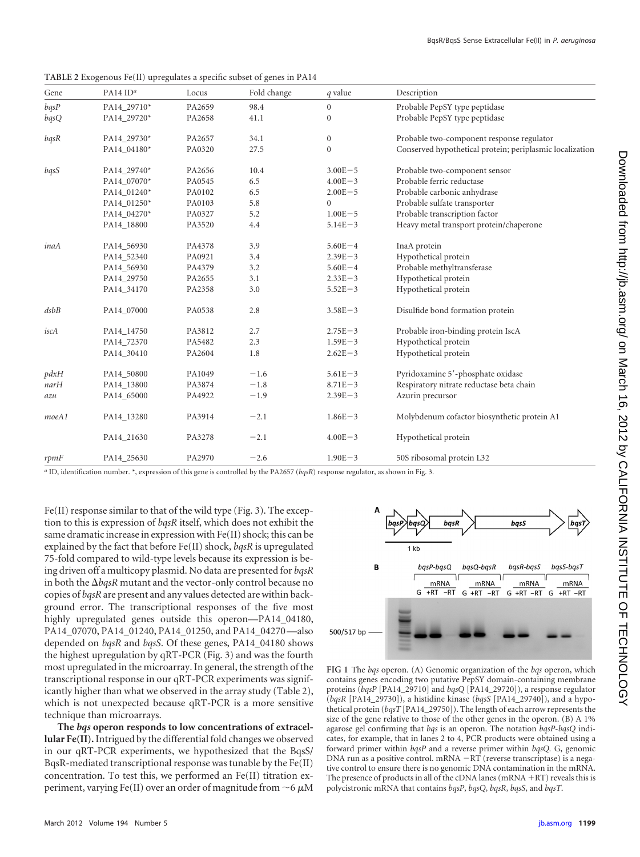| Gene  | PA14 $IDa$  | Locus  | Fold change | q value          | Description                                              |
|-------|-------------|--------|-------------|------------------|----------------------------------------------------------|
| bqsP  | PA14_29710* | PA2659 | 98.4        | $\overline{0}$   | Probable PepSY type peptidase                            |
| bqsQ  | PA14 29720* | PA2658 | 41.1        | $\mathbf{0}$     | Probable PepSY type peptidase                            |
| bqsR  | PA14_29730* | PA2657 | 34.1        | $\boldsymbol{0}$ | Probable two-component response regulator                |
|       | PA14_04180* | PA0320 | 27.5        | $\mathbf{0}$     | Conserved hypothetical protein; periplasmic localization |
| bqsS  | PA14_29740* | PA2656 | 10.4        | $3.00E - 5$      | Probable two-component sensor                            |
|       | PA14_07070* | PA0545 | 6.5         | $4.00E - 3$      | Probable ferric reductase                                |
|       | PA14_01240* | PA0102 | 6.5         | $2.00E - 5$      | Probable carbonic anhydrase                              |
|       | PA14_01250* | PA0103 | 5.8         | $\overline{0}$   | Probable sulfate transporter                             |
|       | PA14_04270* | PA0327 | 5.2         | $1.00E - 5$      | Probable transcription factor                            |
|       | PA14_18800  | PA3520 | 4.4         | $5.14E - 3$      | Heavy metal transport protein/chaperone                  |
| inaA  | PA14_56930  | PA4378 | 3.9         | $5.60E - 4$      | InaA protein                                             |
|       | PA14_52340  | PA0921 | 3.4         | $2.39E - 3$      | Hypothetical protein                                     |
|       | PA14_56930  | PA4379 | 3.2         | $5.60E - 4$      | Probable methyltransferase                               |
|       | PA14_29750  | PA2655 | 3.1         | $2.33E - 3$      | Hypothetical protein                                     |
|       | PA14 34170  | PA2358 | 3.0         | $5.52E - 3$      | Hypothetical protein                                     |
| dsbB  | PA14_07000  | PA0538 | 2.8         | $3.58E - 3$      | Disulfide bond formation protein                         |
| iscA  | PA14_14750  | PA3812 | 2.7         | $2.75E - 3$      | Probable iron-binding protein IscA                       |
|       | PA14_72370  | PA5482 | 2.3         | $1.59E - 3$      | Hypothetical protein                                     |
|       | PA14_30410  | PA2604 | 1.8         | $2.62E - 3$      | Hypothetical protein                                     |
| pdxH  | PA14_50800  | PA1049 | $-1.6$      | $5.61E - 3$      | Pyridoxamine 5'-phosphate oxidase                        |
| narH  | PA14_13800  | PA3874 | $-1.8$      | $8.71E - 3$      | Respiratory nitrate reductase beta chain                 |
| azu   | PA14_65000  | PA4922 | $-1.9$      | $2.39E - 3$      | Azurin precursor                                         |
| moeA1 | PA14 13280  | PA3914 | $-2.1$      | $1.86E - 3$      | Molybdenum cofactor biosynthetic protein A1              |
|       | PA14 21630  | PA3278 | $-2.1$      | $4.00E - 3$      | Hypothetical protein                                     |
| rpmF  | PA14_25630  | PA2970 | $-2.6$      | $1.90E - 3$      | 50S ribosomal protein L32                                |

<span id="page-5-0"></span>

| TABLE 2 Exogenous Fe(II) upregulates a specific subset of genes in PA14 |  |  |  |
|-------------------------------------------------------------------------|--|--|--|
|-------------------------------------------------------------------------|--|--|--|

*a* ID, identification number. \*, expression of this gene is controlled by the PA2657 (*bqsR*) response regulator, as shown in Fig. 3.

Fe(II) response similar to that of the wild type [\(Fig. 3\)](#page-6-0). The exception to this is expression of *bqsR* itself, which does not exhibit the same dramatic increase in expression with Fe(II) shock; this can be explained by the fact that before Fe(II) shock, *bqsR* is upregulated 75-fold compared to wild-type levels because its expression is being driven off a multicopy plasmid. No data are presented for *bqsR* in both the  $\Delta b q s R$  mutant and the vector-only control because no copies of *bqsR* are present and any values detected are within background error. The transcriptional responses of the five most highly upregulated genes outside this operon—PA14\_04180, PA14\_07070, PA14\_01240, PA14\_01250, and PA14\_04270 —also depended on *bqsR* and *bqsS*. Of these genes, PA14\_04180 shows the highest upregulation by qRT-PCR [\(Fig. 3\)](#page-6-0) and was the fourth most upregulated in the microarray. In general, the strength of the transcriptional response in our qRT-PCR experiments was significantly higher than what we observed in the array study [\(Table 2\)](#page-5-0), which is not unexpected because qRT-PCR is a more sensitive technique than microarrays.

**The** *bqs* **operon responds to low concentrations of extracellular Fe(II).**Intrigued by the differential fold changes we observed in our qRT-PCR experiments, we hypothesized that the BqsS/ BqsR-mediated transcriptional response was tunable by the Fe(II) concentration. To test this, we performed an Fe(II) titration experiment, varying Fe(II) over an order of magnitude from  $\sim$  6  $\mu$ M



<span id="page-5-1"></span>**FIG 1** The *bqs* operon. (A) Genomic organization of the *bqs* operon, which contains genes encoding two putative PepSY domain-containing membrane proteins (*bqsP* [PA14\_29710] and *bqsQ* [PA14\_29720]), a response regulator (*bqsR* [PA14\_29730]), a histidine kinase (*bqsS* [PA14\_29740]), and a hypothetical protein (*bqsT* [PA14\_29750]). The length of each arrow represents the size of the gene relative to those of the other genes in the operon. (B) A 1% agarose gel confirming that *bqs* is an operon. The notation *bqsP*-*bqsQ* indicates, for example, that in lanes 2 to 4, PCR products were obtained using a forward primer within *bqsP* and a reverse primer within *bqsQ.* G, genomic DNA run as a positive control. mRNA  $-RT$  (reverse transcriptase) is a negative control to ensure there is no genomic DNA contamination in the mRNA. The presence of products in all of the cDNA lanes ( $mRNA + RT$ ) reveals this is polycistronic mRNA that contains *bqsP*, *bqsQ*, *bqsR*, *bqsS*, and *bqsT*.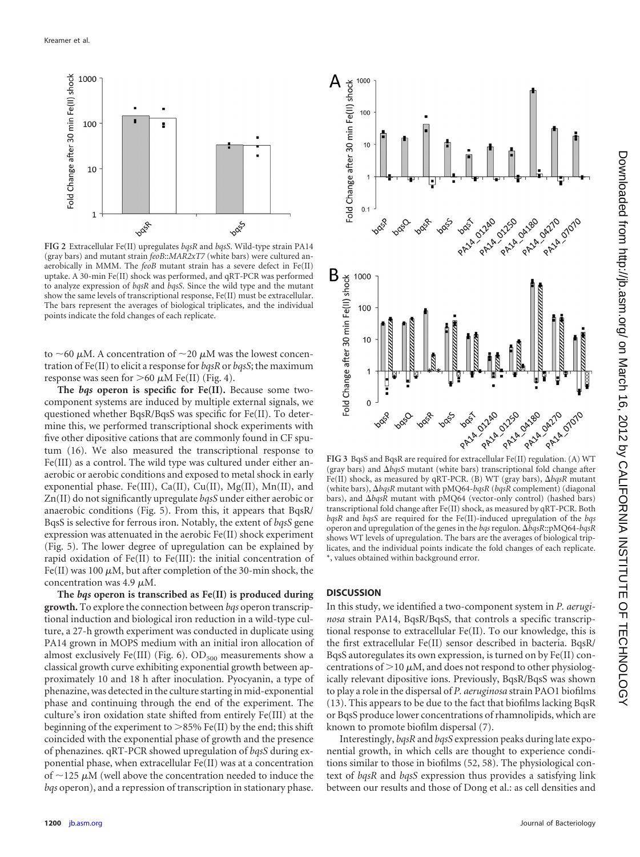

<span id="page-6-1"></span>**FIG 2** Extracellular Fe(II) upregulates *bqsR* and *bqsS*. Wild-type strain PA14 (gray bars) and mutant strain *feoB*::*MAR2xT7* (white bars) were cultured anaerobically in MMM. The *feoB* mutant strain has a severe defect in Fe(II) uptake. A 30-min Fe(II) shock was performed, and qRT-PCR was performed to analyze expression of *bqsR* and *bqsS*. Since the wild type and the mutant show the same levels of transcriptional response, Fe(II) must be extracellular. The bars represent the averages of biological triplicates, and the individual points indicate the fold changes of each replicate.

to ~60  $\mu$ M. A concentration of ~20  $\mu$ M was the lowest concentration of Fe(II) to elicit a response for *bqsR* or *bqsS*; the maximum response was seen for  $>$  60  $\mu$ M Fe(II) [\(Fig. 4\)](#page-7-0).

**The** *bqs* **operon is specific for Fe(II).** Because some twocomponent systems are induced by multiple external signals, we questioned whether BqsR/BqsS was specific for Fe(II). To determine this, we performed transcriptional shock experiments with five other dipositive cations that are commonly found in CF sputum [\(16\)](#page-9-37). We also measured the transcriptional response to Fe(III) as a control. The wild type was cultured under either anaerobic or aerobic conditions and exposed to metal shock in early exponential phase. Fe(III), Ca(II), Cu(II), Mg(II), Mn(II), and Zn(II) do not significantly upregulate *bqsS* under either aerobic or anaerobic conditions [\(Fig. 5\)](#page-7-1). From this, it appears that BqsR/ BqsS is selective for ferrous iron. Notably, the extent of *bqsS* gene expression was attenuated in the aerobic Fe(II) shock experiment [\(Fig. 5\)](#page-7-1). The lower degree of upregulation can be explained by rapid oxidation of Fe(II) to Fe(III): the initial concentration of Fe(II) was 100  $\mu$ M, but after completion of the 30-min shock, the concentration was 4.9  $\mu$ M.

**The** *bqs* **operon is transcribed as Fe(II) is produced during growth.** To explore the connection between *bqs* operon transcriptional induction and biological iron reduction in a wild-type culture, a 27-h growth experiment was conducted in duplicate using PA14 grown in MOPS medium with an initial iron allocation of almost exclusively Fe(III) [\(Fig. 6\)](#page-7-2).  $OD_{500}$  measurements show a classical growth curve exhibiting exponential growth between approximately 10 and 18 h after inoculation. Pyocyanin, a type of phenazine, was detected in the culture starting in mid-exponential phase and continuing through the end of the experiment. The culture's iron oxidation state shifted from entirely Fe(III) at the beginning of the experiment to  $>85\%$  Fe(II) by the end; this shift coincided with the exponential phase of growth and the presence of phenazines. qRT-PCR showed upregulation of *bqsS* during exponential phase, when extracellular Fe(II) was at a concentration of  $\sim$ 125  $\mu$ M (well above the concentration needed to induce the *bqs* operon), and a repression of transcription in stationary phase.



<span id="page-6-0"></span>(gray bars) and  $\Delta b q s S$  mutant (white bars) transcriptional fold change after Fe(II) shock, as measured by qRT-PCR. (B) WT (gray bars),  $\Delta b q s R$  mutant (white bars),  $\Delta b$ qsR mutant with pMQ64-bqsR (bqsR complement) (diagonal bars), and  $\Delta b$ qsR mutant with pMQ64 (vector-only control) (hashed bars) transcriptional fold change after Fe(II) shock, as measured by qRT-PCR. Both *bqsR* and *bqsS* are required for the Fe(II)-induced upregulation of the *bqs* operon and upregulation of the genes in the *bqs* regulon. -*bqsR*::pMQ64-*bqsR* shows WT levels of upregulation. The bars are the averages of biological triplicates, and the individual points indicate the fold changes of each replicate. \*, values obtained within background error.

#### **DISCUSSION**

In this study, we identified a two-component system in *P. aeruginosa* strain PA14, BqsR/BqsS, that controls a specific transcriptional response to extracellular Fe(II). To our knowledge, this is the first extracellular Fe(II) sensor described in bacteria. BqsR/ BqsS autoregulates its own expression, is turned on by Fe(II) concentrations of  $>$ 10  $\mu$ M, and does not respond to other physiologically relevant dipositive ions. Previously, BqsR/BqsS was shown to play a role in the dispersal of *P. aeruginosa* strain PAO1 biofilms [\(13\)](#page-9-0). This appears to be due to the fact that biofilms lacking BqsR or BqsS produce lower concentrations of rhamnolipids, which are known to promote biofilm dispersal [\(7\)](#page-8-8).

Interestingly, *bqsR* and *bqsS* expression peaks during late exponential growth, in which cells are thought to experience conditions similar to those in biofilms [\(52,](#page-9-38) [58\)](#page-9-39). The physiological context of *bqsR* and *bqsS* expression thus provides a satisfying link between our results and those of Dong et al.: as cell densities and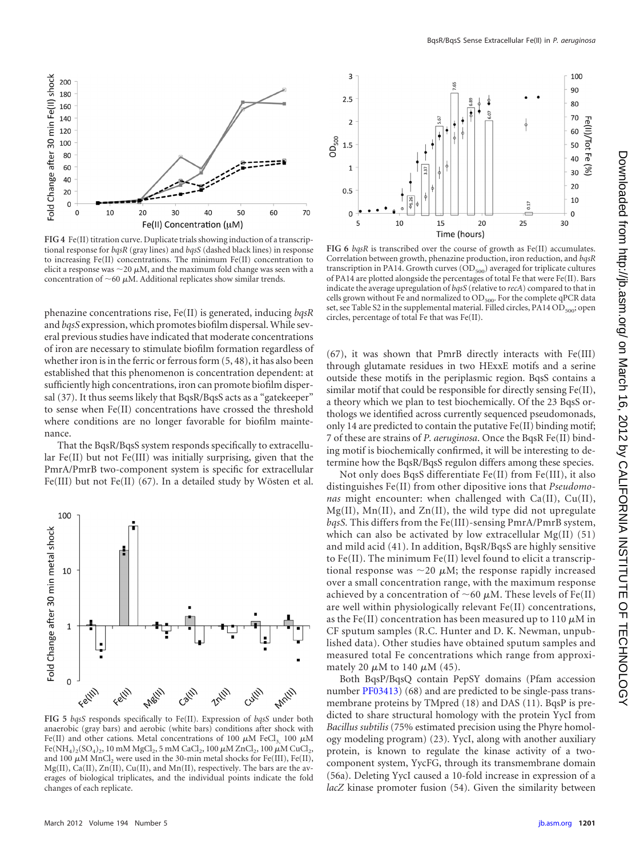

<span id="page-7-0"></span>**FIG 4** Fe(II) titration curve. Duplicate trials showing induction of a transcriptional response for *bqsR* (gray lines) and *bqsS* (dashed black lines) in response to increasing Fe(II) concentrations. The minimum Fe(II) concentration to elicit a response was  $\sim$  20  $\mu$ M, and the maximum fold change was seen with a concentration of  $\sim$  60  $\mu$ M. Additional replicates show similar trends.

phenazine concentrations rise, Fe(II) is generated, inducing *bqsR* and *bqsS* expression, which promotes biofilm dispersal. While several previous studies have indicated that moderate concentrations of iron are necessary to stimulate biofilm formation regardless of whether iron is in the ferric or ferrous form [\(5,](#page-8-3) [48\)](#page-9-16), it has also been established that this phenomenon is concentration dependent: at sufficiently high concentrations, iron can promote biofilm dispersal [\(37\)](#page-9-40). It thus seems likely that BqsR/BqsS acts as a "gatekeeper" to sense when Fe(II) concentrations have crossed the threshold where conditions are no longer favorable for biofilm maintenance.

That the BqsR/BqsS system responds specifically to extracellular Fe(II) but not Fe(III) was initially surprising, given that the PmrA/PmrB two-component system is specific for extracellular Fe(III) but not Fe(II) [\(67\)](#page-10-0). In a detailed study by Wösten et al.



<span id="page-7-1"></span>**FIG 5** *bqsS* responds specifically to Fe(II). Expression of *bqsS* under both anaerobic (gray bars) and aerobic (white bars) conditions after shock with Fe(II) and other cations. Metal concentrations of 100  $\mu$ M FeCl<sub>3,</sub> 100  $\mu$ M Fe(NH<sub>4</sub>)<sub>2</sub>(SO<sub>4</sub>)<sub>2</sub>, 10 mM MgCl<sub>2</sub>, 5 mM CaCl<sub>2</sub>, 100  $\mu$ M ZnCl<sub>2</sub>, 100  $\mu$ M CuCl<sub>2</sub>, and 100  $\mu$ M MnCl<sub>2</sub> were used in the 30-min metal shocks for Fe(III), Fe(II), Mg(II), Ca(II), Zn(II), Cu(II), and Mn(II), respectively. The bars are the averages of biological triplicates, and the individual points indicate the fold changes of each replicate.



<span id="page-7-2"></span>**FIG 6** *bqsR* is transcribed over the course of growth as Fe(II) accumulates. Correlation between growth, phenazine production, iron reduction, and *bqsR* transcription in PA14. Growth curves  $OD_{500}$  averaged for triplicate cultures of PA14 are plotted alongside the percentages of total Fe that were Fe(II). Bars indicate the average upregulation of *bqsS* (relative to *recA*) compared to that in cells grown without Fe and normalized to  $OD_{500}$ . For the complete qPCR data set, see Table S2 in the supplemental material. Filled circles, PA14 OD $_{500}$ ; open circles, percentage of total Fe that was Fe(II).

[\(67\)](#page-10-0), it was shown that PmrB directly interacts with Fe(III) through glutamate residues in two HExxE motifs and a serine outside these motifs in the periplasmic region. BqsS contains a similar motif that could be responsible for directly sensing Fe(II), a theory which we plan to test biochemically. Of the 23 BqsS orthologs we identified across currently sequenced pseudomonads, only 14 are predicted to contain the putative Fe(II) binding motif; 7 of these are strains of *P. aeruginosa*. Once the BqsR Fe(II) binding motif is biochemically confirmed, it will be interesting to determine how the BqsR/BqsS regulon differs among these species.

Not only does BqsS differentiate Fe(II) from Fe(III), it also distinguishes Fe(II) from other dipositive ions that *Pseudomonas* might encounter: when challenged with Ca(II), Cu(II), Mg(II), Mn(II), and Zn(II), the wild type did not upregulate *bqsS.* This differs from the Fe(III)-sensing PmrA/PmrB system, which can also be activated by low extracellular Mg(II) [\(51\)](#page-9-41) and mild acid [\(41\)](#page-9-42). In addition, BqsR/BqsS are highly sensitive to Fe(II). The minimum Fe(II) level found to elicit a transcriptional response was  $\sim$ 20  $\mu$ M; the response rapidly increased over a small concentration range, with the maximum response achieved by a concentration of  $\sim$  60  $\mu$ M. These levels of Fe(II) are well within physiologically relevant Fe(II) concentrations, as the Fe(II) concentration has been measured up to 110  $\mu$ M in CF sputum samples (R.C. Hunter and D. K. Newman, unpublished data). Other studies have obtained sputum samples and measured total Fe concentrations which range from approximately 20  $\mu$ M to 140  $\mu$ M [\(45\)](#page-9-43).

Both BqsP/BqsQ contain PepSY domains (Pfam accession number [PF03413\)](http://www.ncbi.nlm.nih.gov/nuccore?term=PF03413) [\(68\)](#page-10-7) and are predicted to be single-pass transmembrane proteins by TMpred [\(18\)](#page-9-44) and DAS [\(11\)](#page-9-45). BqsP is predicted to share structural homology with the protein YycI from *Bacillus subtilis* (75% estimated precision using the Phyre homology modeling program) [\(23\)](#page-9-46). YycI, along with another auxiliary protein, is known to regulate the kinase activity of a twocomponent system, YycFG, through its transmembrane domain [\(56a\)](#page-9-47). Deleting YycI caused a 10-fold increase in expression of a *lacZ* kinase promoter fusion [\(54\)](#page-9-23). Given the similarity between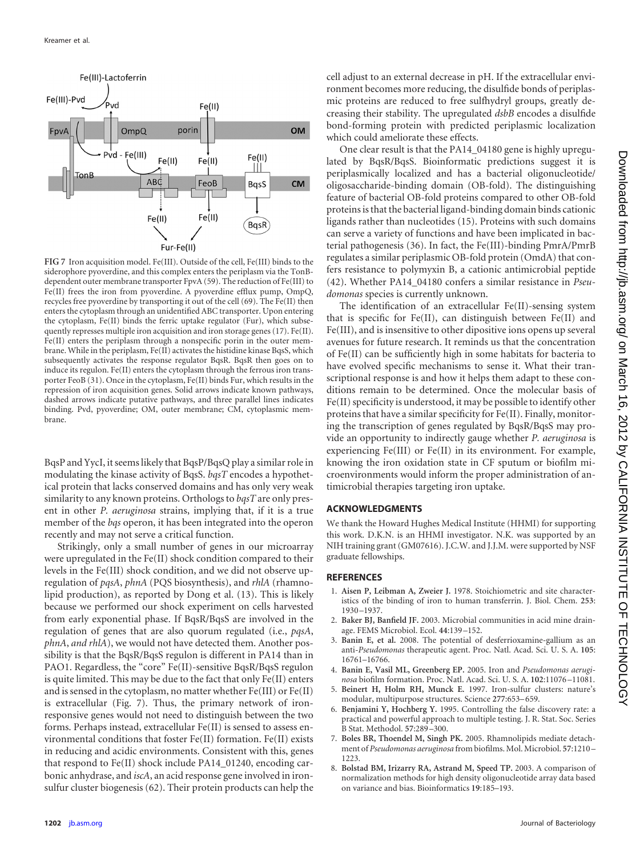<span id="page-8-2"></span>

<span id="page-8-9"></span>**FIG 7** Iron acquisition model. Fe(III). Outside of the cell, Fe(III) binds to the siderophore pyoverdine, and this complex enters the periplasm via the TonBdependent outer membrane transporter FpvA [\(59\)](#page-9-5). The reduction of Fe(III) to Fe(II) frees the iron from pyoverdine. A pyoverdine efflux pump, OmpQ, recycles free pyoverdine by transporting it out of the cell [\(69\)](#page-10-9). The Fe(II) then enters the cytoplasm through an unidentified ABC transporter. Upon entering the cytoplasm, Fe(II) binds the ferric uptake regulator (Fur), which subsequently represses multiple iron acquisition and iron storage genes [\(17\)](#page-9-50). Fe(II). Fe(II) enters the periplasm through a nonspecific porin in the outer membrane. While in the periplasm, Fe(II) activates the histidine kinase BqsS, which subsequently activates the response regulator BqsR. BqsR then goes on to induce its regulon. Fe(II) enters the cytoplasm through the ferrous iron transporter FeoB [\(31\)](#page-9-19). Once in the cytoplasm, Fe(II) binds Fur, which results in the repression of iron acquisition genes. Solid arrows indicate known pathways, dashed arrows indicate putative pathways, and three parallel lines indicates binding. Pvd, pyoverdine; OM, outer membrane; CM, cytoplasmic membrane.

BqsP and YycI, it seems likely that BqsP/BqsQ play a similar role in modulating the kinase activity of BqsS. *bqsT* encodes a hypothetical protein that lacks conserved domains and has only very weak similarity to any known proteins. Orthologs to *bqsT* are only present in other *P. aeruginosa* strains, implying that, if it is a true member of the *bqs* operon, it has been integrated into the operon recently and may not serve a critical function.

Strikingly, only a small number of genes in our microarray were upregulated in the Fe(II) shock condition compared to their levels in the Fe(III) shock condition, and we did not observe upregulation of *pqsA*, *phnA* (PQS biosynthesis), and *rhlA* (rhamnolipid production), as reported by Dong et al. [\(13\)](#page-9-0). This is likely because we performed our shock experiment on cells harvested from early exponential phase. If BqsR/BqsS are involved in the regulation of genes that are also quorum regulated (i.e., *pqsA*, *phnA*, *and rhlA*), we would not have detected them. Another possibility is that the BqsR/BqsS regulon is different in PA14 than in PAO1. Regardless, the "core" Fe(II)-sensitive BqsR/BqsS regulon is quite limited. This may be due to the fact that only Fe(II) enters and is sensed in the cytoplasm, no matter whether Fe(III) or Fe(II) is extracellular [\(Fig. 7\)](#page-8-9). Thus, the primary network of ironresponsive genes would not need to distinguish between the two forms. Perhaps instead, extracellular Fe(II) is sensed to assess environmental conditions that foster Fe(II) formation. Fe(II) exists in reducing and acidic environments. Consistent with this, genes that respond to Fe(II) shock include PA14\_01240, encoding carbonic anhydrase, and *iscA*, an acid response gene involved in ironsulfur cluster biogenesis [\(62\)](#page-10-8). Their protein products can help the

One clear result is that the PA14\_04180 gene is highly upregulated by BqsR/BqsS. Bioinformatic predictions suggest it is periplasmically localized and has a bacterial oligonucleotide/ oligosaccharide-binding domain (OB-fold). The distinguishing feature of bacterial OB-fold proteins compared to other OB-fold proteins is that the bacterial ligand-binding domain binds cationic ligands rather than nucleotides [\(15\)](#page-9-48). Proteins with such domains can serve a variety of functions and have been implicated in bacterial pathogenesis [\(36\)](#page-9-49). In fact, the Fe(III)-binding PmrA/PmrB regulates a similar periplasmic OB-fold protein (OmdA) that confers resistance to polymyxin B, a cationic antimicrobial peptide [\(42\)](#page-9-28). Whether PA14\_04180 confers a similar resistance in *Pseudomonas* species is currently unknown.

The identification of an extracellular Fe(II)-sensing system that is specific for Fe(II), can distinguish between Fe(II) and Fe(III), and is insensitive to other dipositive ions opens up several avenues for future research. It reminds us that the concentration of Fe(II) can be sufficiently high in some habitats for bacteria to have evolved specific mechanisms to sense it. What their transcriptional response is and how it helps them adapt to these conditions remain to be determined. Once the molecular basis of Fe(II) specificity is understood, it may be possible to identify other proteins that have a similar specificity for Fe(II). Finally, monitoring the transcription of genes regulated by BqsR/BqsS may provide an opportunity to indirectly gauge whether *P. aeruginosa* is experiencing Fe(III) or Fe(II) in its environment. For example, knowing the iron oxidation state in CF sputum or biofilm microenvironments would inform the proper administration of antimicrobial therapies targeting iron uptake.

#### **ACKNOWLEDGMENTS**

We thank the Howard Hughes Medical Institute (HHMI) for supporting this work. D.K.N. is an HHMI investigator. N.K. was supported by an NIH training grant (GM07616). J.C.W. and J.J.M. were supported by NSF graduate fellowships.

#### <span id="page-8-0"></span>**REFERENCES**

- 1. **Aisen P, Leibman A, Zweier J.** 1978. Stoichiometric and site characteristics of the binding of iron to human transferrin. J. Biol. Chem. **253**: 1930 –1937.
- <span id="page-8-1"></span>2. **Baker BJ, Banfield JF.** 2003. Microbial communities in acid mine drainage. FEMS Microbiol. Ecol. **44**:139 –152.
- <span id="page-8-5"></span>3. **Banin E, et al.** 2008. The potential of desferrioxamine-gallium as an anti-*Pseudomonas* therapeutic agent. Proc. Natl. Acad. Sci. U. S. A. **105**: 16761–16766.
- <span id="page-8-4"></span>4. **Banin E, Vasil ML, Greenberg EP.** 2005. Iron and *Pseudomonas aeruginosa* biofilm formation. Proc. Natl. Acad. Sci. U. S. A. **102**:11076 –11081.
- <span id="page-8-3"></span>5. **Beinert H, Holm RH, Munck E.** 1997. Iron-sulfur clusters: nature's modular, multipurpose structures. Science **277**:653– 659.
- <span id="page-8-7"></span>6. **Benjamini Y, Hochberg Y.** 1995. Controlling the false discovery rate: a practical and powerful approach to multiple testing. J. R. Stat. Soc. Series B Stat. Methodol. **57**:289 –300.
- <span id="page-8-8"></span>7. **Boles BR, Thoendel M, Singh PK.** 2005. Rhamnolipids mediate detachment of *Pseudomonas aeruginosa* from biofilms. Mol. Microbiol. **57**:1210 – 1223.
- <span id="page-8-6"></span>8. **Bolstad BM, Irizarry RA, Astrand M, Speed TP.** 2003. A comparison of normalization methods for high density oligonucleotide array data based on variance and bias. Bioinformatics **19**:185–193.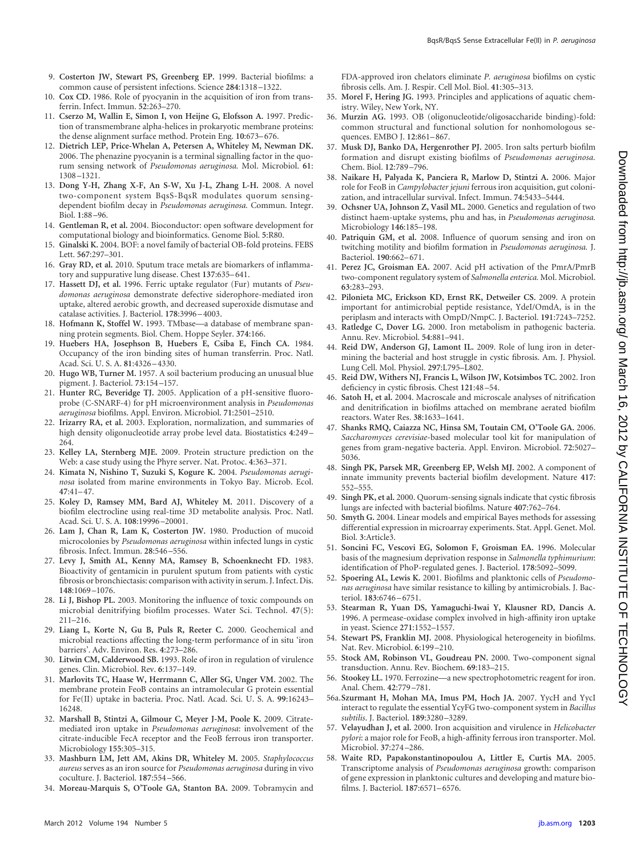- <span id="page-9-5"></span>9. **Costerton JW, Stewart PS, Greenberg EP.** 1999. Bacterial biofilms: a common cause of persistent infections. Science **284**:1318 –1322.
- <span id="page-9-25"></span>10. **Cox CD.** 1986. Role of pyocyanin in the acquisition of iron from transferrin. Infect. Immun. **52**:263–270.
- <span id="page-9-45"></span>11. **Cserzo M, Wallin E, Simon I, von Heijne G, Elofsson A.** 1997. Prediction of transmembrane alpha-helices in prokaryotic membrane proteins: the dense alignment surface method. Protein Eng. **10**:673– 676.
- <span id="page-9-29"></span>12. **Dietrich LEP, Price-Whelan A, Petersen A, Whiteley M, Newman DK.** 2006. The phenazine pyocyanin is a terminal signalling factor in the quorum sensing network of *Pseudomonas aeruginosa.* Mol. Microbiol. **61**: 1308 –1321.
- <span id="page-9-0"></span>13. **Dong Y-H, Zhang X-F, An S-W, Xu J-L, Zhang L-H.** 2008. A novel two-component system BqsS-BqsR modulates quorum sensingdependent biofilm decay in *Pseudomonas aeruginosa.* Commun. Integr. Biol. **1**:88 –96.
- <span id="page-9-31"></span>14. **Gentleman R, et al.** 2004. Bioconductor: open software development for computational biology and bioinformatics. Genome Biol. **5**:R80.
- <span id="page-9-48"></span>15. **Ginalski K.** 2004. BOF: a novel family of bacterial OB-fold proteins. FEBS Lett. **567**:297–301.
- <span id="page-9-37"></span>16. **Gray RD, et al.** 2010. Sputum trace metals are biomarkers of inflammatory and suppurative lung disease. Chest **137**:635– 641.
- <span id="page-9-50"></span>17. **Hassett DJ, et al.** 1996. Ferric uptake regulator (Fur) mutants of *Pseudomonas aeruginosa* demonstrate defective siderophore-mediated iron uptake, altered aerobic growth, and decreased superoxide dismutase and catalase activities. J. Bacteriol. **178**:3996 – 4003.
- <span id="page-9-44"></span>18. **Hofmann K, Stoffel W.** 1993. TMbase—a database of membrane spanning protein segments. Biol. Chem. Hoppe Seyler. **374**:166.
- <span id="page-9-2"></span>19. **Huebers HA, Josephson B, Huebers E, Csiba E, Finch CA.** 1984. Occupancy of the iron binding sites of human transferrin. Proc. Natl. Acad. Sci. U. S. A. **81**:4326 – 4330.
- <span id="page-9-12"></span>20. **Hugo WB, Turner M.** 1957. A soil bacterium producing an unusual blue pigment. J. Bacteriol. **73**:154 –157.
- <span id="page-9-11"></span>21. **Hunter RC, Beveridge TJ.** 2005. Application of a pH-sensitive fluoroprobe (C-SNARF-4) for pH microenvironment analysis in *Pseudomonas aeruginosa* biofilms. Appl. Environ. Microbiol. **71**:2501–2510.
- <span id="page-9-32"></span>22. **Irizarry RA, et al.** 2003. Exploration, normalization, and summaries of high density oligonucleotide array probe level data. Biostatistics **4**:249 – 264.
- <span id="page-9-46"></span>23. **Kelley LA, Sternberg MJE.** 2009. Protein structure prediction on the Web: a case study using the Phyre server. Nat. Protoc. **4**:363–371.
- <span id="page-9-13"></span>24. **Kimata N, Nishino T, Suzuki S, Kogure K.** 2004. *Pseudomonas aeruginosa* isolated from marine environments in Tokyo Bay. Microb. Ecol. **47**:41– 47.
- <span id="page-9-26"></span>25. **Koley D, Ramsey MM, Bard AJ, Whiteley M.** 2011. Discovery of a biofilm electrocline using real-time 3D metabolite analysis. Proc. Natl. Acad. Sci. U. S. A. **108**:19996 –20001.
- <span id="page-9-14"></span>26. **Lam J, Chan R, Lam K, Costerton JW.** 1980. Production of mucoid microcolonies by *Pseudomonas aeruginosa* within infected lungs in cystic fibrosis. Infect. Immun. **28**:546 –556.
- <span id="page-9-35"></span>27. **Levy J, Smith AL, Kenny MA, Ramsey B, Schoenknecht FD.** 1983. Bioactivity of gentamicin in purulent sputum from patients with cystic fibrosis or bronchiectasis: comparison with activity in serum. J. Infect. Dis. **148**:1069 –1076.
- <span id="page-9-9"></span>28. **Li J, Bishop PL.** 2003. Monitoring the influence of toxic compounds on microbial denitrifying biofilm processes. Water Sci. Technol. **47**(5): 211–216.
- <span id="page-9-6"></span>29. **Liang L, Korte N, Gu B, Puls R, Reeter C.** 2000. Geochemical and microbial reactions affecting the long-term performance of in situ 'iron barriers'. Adv. Environ. Res. **4**:273–286.
- <span id="page-9-18"></span>30. **Litwin CM, Calderwood SB.** 1993. Role of iron in regulation of virulence genes. Clin. Microbiol. Rev. **6**:137–149.
- <span id="page-9-19"></span>31. **Marlovits TC, Haase W, Herrmann C, Aller SG, Unger VM.** 2002. The membrane protein FeoB contains an intramolecular G protein essential for Fe(II) uptake in bacteria. Proc. Natl. Acad. Sci. U. S. A. **99**:16243– 16248.
- <span id="page-9-20"></span>32. **Marshall B, Stintzi A, Gilmour C, Meyer J-M, Poole K.** 2009. Citratemediated iron uptake in *Pseudomonas aeruginosa*: involvement of the citrate-inducible FecA receptor and the FeoB ferrous iron transporter. Microbiology **155**:305–315.
- <span id="page-9-30"></span>33. **Mashburn LM, Jett AM, Akins DR, Whiteley M.** 2005. *Staphylococcus aureus* serves as an iron source for *Pseudomonas aeruginosa* during in vivo coculture. J. Bacteriol. **187**:554 –566.
- <span id="page-9-22"></span>34. **Moreau-Marquis S, O'Toole GA, Stanton BA.** 2009. Tobramycin and

FDA-approved iron chelators eliminate *P. aeruginosa* biofilms on cystic fibrosis cells. Am. J. Respir. Cell Mol. Biol. **41**:305–313.

- <span id="page-9-1"></span>35. **Morel F, Hering JG.** 1993. Principles and applications of aquatic chemistry. Wiley, New York, NY.
- <span id="page-9-49"></span>36. **Murzin AG.** 1993. OB (oligonucleotide/oligosaccharide binding)-fold: common structural and functional solution for nonhomologous sequences. EMBO J. **12**:861– 867.
- <span id="page-9-40"></span>37. **Musk DJ, Banko DA, Hergenrother PJ.** 2005. Iron salts perturb biofilm formation and disrupt existing biofilms of *Pseudomonas aeruginosa.* Chem. Biol. **12**:789 –796.
- <span id="page-9-7"></span>38. **Naikare H, Palyada K, Panciera R, Marlow D, Stintzi A.** 2006. Major role for FeoB in *Campylobacter jejuni* ferrous iron acquisition, gut colonization, and intracellular survival. Infect. Immun. **74**:5433–5444.
- <span id="page-9-21"></span>39. **Ochsner UA, Johnson Z, Vasil ML.** 2000. Genetics and regulation of two distinct haem-uptake systems, phu and has, in *Pseudomonas aeruginosa.* Microbiology **146**:185–198.
- <span id="page-9-17"></span>40. **Patriquin GM, et al.** 2008. Influence of quorum sensing and iron on twitching motility and biofilm formation in *Pseudomonas aeruginosa.* J. Bacteriol. **190**:662– 671.
- <span id="page-9-42"></span>41. **Perez JC, Groisman EA.** 2007. Acid pH activation of the PmrA/PmrB two-component regulatory system of *Salmonella enterica.* Mol. Microbiol. **63**:283–293.
- <span id="page-9-28"></span>42. **Pilonieta MC, Erickson KD, Ernst RK, Detweiler CS.** 2009. A protein important for antimicrobial peptide resistance, YdeI/OmdA, is in the periplasm and interacts with OmpD/NmpC. J. Bacteriol. **191**:7243–7252.
- <span id="page-9-3"></span>43. **Ratledge C, Dover LG.** 2000. Iron metabolism in pathogenic bacteria. Annu. Rev. Microbiol. **54**:881–941.
- <span id="page-9-24"></span>44. **Reid DW, Anderson GJ, Lamont IL.** 2009. Role of lung iron in determining the bacterial and host struggle in cystic fibrosis. Am. J. Physiol. Lung Cell. Mol. Physiol. **297**:L795–L802.
- <span id="page-9-43"></span>45. **Reid DW, Withers NJ, Francis L, Wilson JW, Kotsimbos TC.** 2002. Iron deficiency in cystic fibrosis. Chest **121**:48 –54.
- <span id="page-9-10"></span>46. **Satoh H, et al.** 2004. Macroscale and microscale analyses of nitrification and denitrification in biofilms attached on membrane aerated biofilm reactors. Water Res. **38**:1633–1641.
- <span id="page-9-27"></span>47. **Shanks RMQ, Caiazza NC, Hinsa SM, Toutain CM, O'Toole GA.** 2006. *Saccharomyces cerevisiae*-based molecular tool kit for manipulation of genes from gram-negative bacteria. Appl. Environ. Microbiol. **72**:5027– 5036.
- <span id="page-9-16"></span>48. **Singh PK, Parsek MR, Greenberg EP, Welsh MJ.** 2002. A component of innate immunity prevents bacterial biofilm development. Nature **417**: 552–555.
- <span id="page-9-15"></span>49. **Singh PK, et al.** 2000. Quorum-sensing signals indicate that cystic fibrosis lungs are infected with bacterial biofilms. Nature **407**:762–764.
- <span id="page-9-33"></span>50. **Smyth G.** 2004. Linear models and empirical Bayes methods for assessing differential expression in microarray experiments. Stat. Appl. Genet. Mol. Biol. **3**:Article3.
- <span id="page-9-41"></span>51. **Soncini FC, Vescovi EG, Solomon F, Groisman EA.** 1996. Molecular basis of the magnesium deprivation response in *Salmonella typhimurium*: identification of PhoP-regulated genes. J. Bacteriol. **178**:5092–5099.
- <span id="page-9-38"></span>52. **Spoering AL, Lewis K.** 2001. Biofilms and planktonic cells of *Pseudomonas aeruginosa* have similar resistance to killing by antimicrobials. J. Bacteriol. **183**:6746 – 6751.
- <span id="page-9-4"></span>53. **Stearman R, Yuan DS, Yamaguchi-Iwai Y, Klausner RD, Dancis A.** 1996. A permease-oxidase complex involved in high-affinity iron uptake in yeast. Science **271**:1552–1557.
- <span id="page-9-23"></span>54. **Stewart PS, Franklin MJ.** 2008. Physiological heterogeneity in biofilms. Nat. Rev. Microbiol. **6**:199 –210.
- <span id="page-9-36"></span>55. **Stock AM, Robinson VL, Goudreau PN.** 2000. Two-component signal transduction. Annu. Rev. Biochem. **69**:183–215.
- <span id="page-9-34"></span>56. **Stookey LL.** 1970. Ferrozine—a new spectrophotometric reagent for iron. Anal. Chem. **42**:779 –781.
- <span id="page-9-47"></span>56a.**Szurmant H, Mohan MA, Imus PM, Hoch JA.** 2007. YycH and YycI interact to regulate the essential YcyFG two-component system in *Bacillus subtilis*. J. Bacteriol. **189**:3280 –3289.
- <span id="page-9-8"></span>57. **Velayudhan J, et al.** 2000. Iron acquisition and virulence in *Helicobacter pylori*: a major role for FeoB, a high-affinity ferrous iron transporter. Mol. Microbiol. **37**:274 –286.
- <span id="page-9-39"></span>58. **Waite RD, Papakonstantinopoulou A, Littler E, Curtis MA.** 2005. Transcriptome analysis of *Pseudomonas aeruginosa* growth: comparison of gene expression in planktonic cultures and developing and mature biofilms. J. Bacteriol. **187**:6571– 6576.